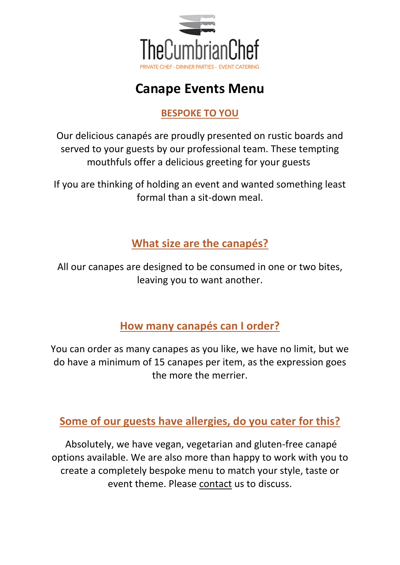

# **Canape Events Menu**

## **BESPOKE TO YOU**

Our delicious canapés are proudly presented on rustic boards and served to your guests by our professional team. These tempting mouthfuls offer a delicious greeting for your guests

If you are thinking of holding an event and wanted something least formal than a sit-down meal.

**What size are the canapés?**

All our canapes are designed to be consumed in one or two bites, leaving you to want another.

**How many canapés can I order?**

You can order as many canapes as you like, we have no limit, but we do have a minimum of 15 canapes per item, as the expression goes the more the merrier.

**Some of our guests have allergies, do you cater for this?**

Absolutely, we have vegan, vegetarian and gluten-free canapé options available. We are also more than happy to work with you to create a completely bespoke menu to match your style, taste or event theme. Please contact us to discuss.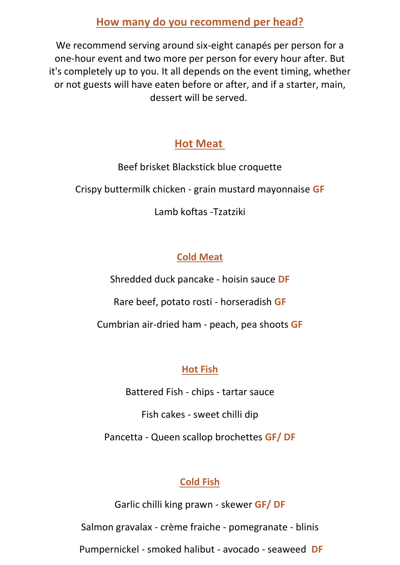## **How many do you recommend per head?**

We recommend serving around six-eight canapés per person for a one-hour event and two more per person for every hour after. But it's completely up to you. It all depends on the event timing, whether or not guests will have eaten before or after, and if a starter, main, dessert will be served.

## **Hot Meat**

Beef brisket Blackstick blue croquette

Crispy buttermilk chicken - grain mustard mayonnaise **GF**

Lamb koftas -Tzatziki

# **Cold Meat**

Shredded duck pancake - hoisin sauce **DF**

Rare beef, potato rosti - horseradish **GF**

Cumbrian air-dried ham - peach, pea shoots **GF**

# **Hot Fish**

Battered Fish - chips - tartar sauce

Fish cakes - sweet chilli dip

Pancetta - Queen scallop brochettes **GF/ DF**

# **Cold Fish**

Garlic chilli king prawn - skewer **GF/ DF** Salmon gravalax - crème fraiche - pomegranate - blinis Pumpernickel - smoked halibut - avocado - seaweed **DF**